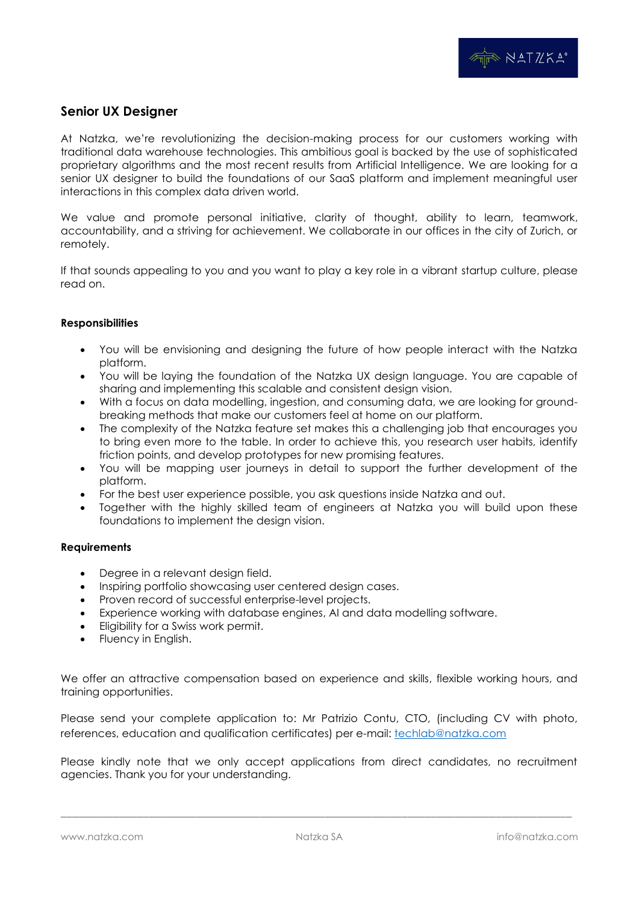## **Senior UX Designer**

At Natzka, we're revolutionizing the decision-making process for our customers working with traditional data warehouse technologies. This ambitious goal is backed by the use of sophisticated proprietary algorithms and the most recent results from Artificial Intelligence. We are looking for a senior UX designer to build the foundations of our SaaS platform and implement meaningful user interactions in this complex data driven world.

We value and promote personal initiative, clarity of thought, ability to learn, teamwork, accountability, and a striving for achievement. We collaborate in our offices in the city of Zurich, or remotely.

If that sounds appealing to you and you want to play a key role in a vibrant startup culture, please read on.

## **Responsibilities**

- You will be envisioning and designing the future of how people interact with the Natzka platform.
- You will be laying the foundation of the Natzka UX design language. You are capable of sharing and implementing this scalable and consistent design vision.
- With a focus on data modelling, ingestion, and consuming data, we are looking for groundbreaking methods that make our customers feel at home on our platform.
- The complexity of the Natzka feature set makes this a challenging job that encourages you to bring even more to the table. In order to achieve this, you research user habits, identify friction points, and develop prototypes for new promising features.
- You will be mapping user journeys in detail to support the further development of the platform.
- For the best user experience possible, you ask questions inside Natzka and out.
- Together with the highly skilled team of engineers at Natzka you will build upon these foundations to implement the design vision.

## **Requirements**

- Degree in a relevant design field.
- Inspiring portfolio showcasing user centered design cases.
- Proven record of successful enterprise-level projects.
- Experience working with database engines, AI and data modelling software.
- Eligibility for a Swiss work permit.
- Fluency in English.

We offer an attractive compensation based on experience and skills, flexible working hours, and training opportunities.

Please send your complete application to: Mr Patrizio Contu, CTO, (including CV with photo, references, education and qualification certificates) per e-mail: **[techlab@natzka.com](mailto:techlab@natzka.com)** 

Please kindly note that we only accept applications from direct candidates, no recruitment agencies. Thank you for your understanding.

\_\_\_\_\_\_\_\_\_\_\_\_\_\_\_\_\_\_\_\_\_\_\_\_\_\_\_\_\_\_\_\_\_\_\_\_\_\_\_\_\_\_\_\_\_\_\_\_\_\_\_\_\_\_\_\_\_\_\_\_\_\_\_\_\_\_\_\_\_\_\_\_\_\_\_\_\_\_\_\_\_\_\_\_\_\_\_